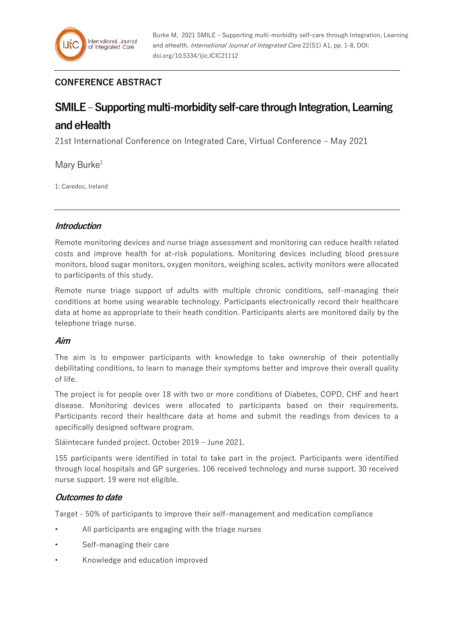## **CONFERENCE ABSTRACT**

# **SMILE –Supporting multi-morbidity self-care through Integration, Learning and eHealth**

21st International Conference on Integrated Care, Virtual Conference – May 2021

Mary Burke $1$ 

1: Caredoc, Ireland

## **Introduction**

Remote monitoring devices and nurse triage assessment and monitoring can reduce health related costs and improve health for at-risk populations. Monitoring devices including blood pressure monitors, blood sugar monitors, oxygen monitors, weighing scales, activity monitors were allocated to participants of this study.

Remote nurse triage support of adults with multiple chronic conditions, self-managing their conditions at home using wearable technology. Participants electronically record their healthcare data at home as appropriate to their heath condition. Participants alerts are monitored daily by the telephone triage nurse.

## **Aim**

The aim is to empower participants with knowledge to take ownership of their potentially debilitating conditions, to learn to manage their symptoms better and improve their overall quality of life.

The project is for people over 18 with two or more conditions of Diabetes, COPD, CHF and heart disease. Monitoring devices were allocated to participants based on their requirements. Participants record their healthcare data at home and submit the readings from devices to a specifically designed software program.

Sláintecare funded project. October 2019 – June 2021.

155 participants were identified in total to take part in the project. Participants were identified through local hospitals and GP surgeries. 106 received technology and nurse support. 30 received nurse support. 19 were not eligible.

## **Outcomes to date**

Target - 50% of participants to improve their self-management and medication compliance

- All participants are engaging with the triage nurses
- Self-managing their care
- Knowledge and education improved